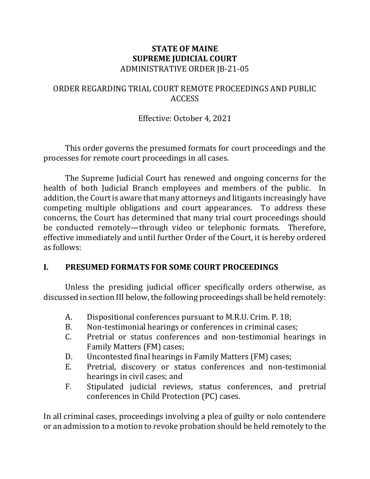### **STATE OF MAINE SUPREME JUDICIAL COURT** ADMINISTRATIVE ORDER JB-21-05

## ORDER REGARDING TRIAL COURT REMOTE PROCEEDINGS AND PUBLIC ACCESS

## Effective: October 4, 2021

This order governs the presumed formats for court proceedings and the processes for remote court proceedings in all cases.

The Supreme Judicial Court has renewed and ongoing concerns for the health of both Judicial Branch employees and members of the public. In addition, the Court is aware that many attorneys and litigants increasingly have competing multiple obligations and court appearances. To address these concerns, the Court has determined that many trial court proceedings should be conducted remotely—through video or telephonic formats. Therefore, effective immediately and until further Order of the Court, it is hereby ordered as follows:

## **I. PRESUMED FORMATS FOR SOME COURT PROCEEDINGS**

Unless the presiding judicial officer specifically orders otherwise, as discussed in section III below, the following proceedings shall be held remotely:

- A. Dispositional conferences pursuant to M.R.U. Crim. P. 18;
- B. Non-testimonial hearings or conferences in criminal cases;
- C. Pretrial or status conferences and non-testimonial hearings in Family Matters (FM) cases;
- D. Uncontested final hearings in Family Matters (FM) cases;
- E. Pretrial, discovery or status conferences and non-testimonial hearings in civil cases; and
- F. Stipulated judicial reviews, status conferences, and pretrial conferences in Child Protection (PC) cases.

In all criminal cases, proceedings involving a plea of guilty or nolo contendere or an admission to a motion to revoke probation should be held remotely to the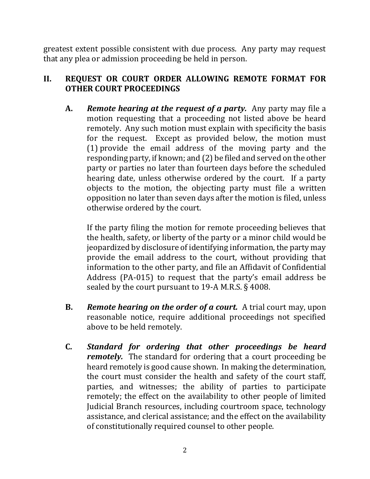greatest extent possible consistent with due process. Any party may request that any plea or admission proceeding be held in person.

## **II. REQUEST OR COURT ORDER ALLOWING REMOTE FORMAT FOR OTHER COURT PROCEEDINGS**

**A.** *Remote hearing at the request of a party.* Any party may file a motion requesting that a proceeding not listed above be heard remotely. Any such motion must explain with specificity the basis for the request. Except as provided below, the motion must (1) provide the email address of the moving party and the responding party, if known; and (2) be filed and served on the other party or parties no later than fourteen days before the scheduled hearing date, unless otherwise ordered by the court. If a party objects to the motion, the objecting party must file a written opposition no later than seven days after the motion is filed, unless otherwise ordered by the court.

If the party filing the motion for remote proceeding believes that the health, safety, or liberty of the party or a minor child would be jeopardized by disclosure of identifying information, the party may provide the email address to the court, without providing that information to the other party, and file an Affidavit of Confidential Address (PA-015) to request that the party's email address be sealed by the court pursuant to 19-A M.R.S. § 4008.

- **B.** *Remote hearing on the order of a court.* A trial court may, upon reasonable notice, require additional proceedings not specified above to be held remotely.
- **C.** *Standard for ordering that other proceedings be heard remotely.* The standard for ordering that a court proceeding be heard remotely is good cause shown. In making the determination, the court must consider the health and safety of the court staff, parties, and witnesses; the ability of parties to participate remotely; the effect on the availability to other people of limited Judicial Branch resources, including courtroom space, technology assistance, and clerical assistance; and the effect on the availability of constitutionally required counsel to other people.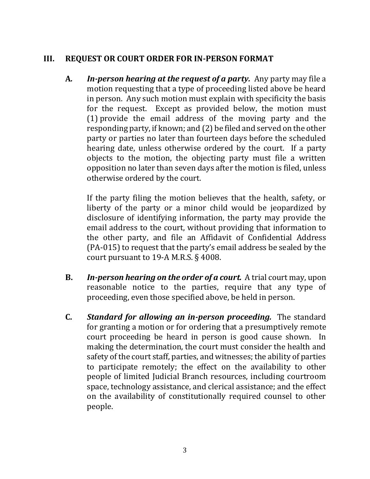## **III. REQUEST OR COURT ORDER FOR IN-PERSON FORMAT**

**A***. In-person hearing at the request of a party.* Any party may file a motion requesting that a type of proceeding listed above be heard in person. Any such motion must explain with specificity the basis for the request. Except as provided below, the motion must (1) provide the email address of the moving party and the responding party, if known; and (2) be filed and served on the other party or parties no later than fourteen days before the scheduled hearing date, unless otherwise ordered by the court. If a party objects to the motion, the objecting party must file a written opposition no later than seven days after the motion is filed, unless otherwise ordered by the court.

If the party filing the motion believes that the health, safety, or liberty of the party or a minor child would be jeopardized by disclosure of identifying information, the party may provide the email address to the court, without providing that information to the other party, and file an Affidavit of Confidential Address (PA-015) to request that the party's email address be sealed by the court pursuant to 19-A M.R.S. § 4008.

- **B.** *In-person hearing on the order of a court.* A trial court may, upon reasonable notice to the parties, require that any type of proceeding, even those specified above, be held in person.
- **C.** *Standard for allowing an in-person proceeding.* The standard for granting a motion or for ordering that a presumptively remote court proceeding be heard in person is good cause shown. In making the determination, the court must consider the health and safety of the court staff, parties, and witnesses; the ability of parties to participate remotely; the effect on the availability to other people of limited Judicial Branch resources, including courtroom space, technology assistance, and clerical assistance; and the effect on the availability of constitutionally required counsel to other people.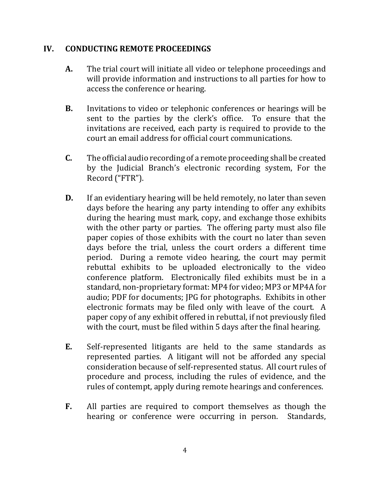#### **IV. CONDUCTING REMOTE PROCEEDINGS**

- **A.** The trial court will initiate all video or telephone proceedings and will provide information and instructions to all parties for how to access the conference or hearing.
- **B.** Invitations to video or telephonic conferences or hearings will be sent to the parties by the clerk's office. To ensure that the invitations are received, each party is required to provide to the court an email address for official court communications.
- **C.** The official audio recording of a remote proceeding shall be created by the Judicial Branch's electronic recording system, For the Record ("FTR").
- **D.** If an evidentiary hearing will be held remotely, no later than seven days before the hearing any party intending to offer any exhibits during the hearing must mark, copy, and exchange those exhibits with the other party or parties. The offering party must also file paper copies of those exhibits with the court no later than seven days before the trial, unless the court orders a different time period. During a remote video hearing, the court may permit rebuttal exhibits to be uploaded electronically to the video conference platform. Electronically filed exhibits must be in a standard, non-proprietary format: MP4 for video; MP3 or MP4A for audio; PDF for documents; JPG for photographs. Exhibits in other electronic formats may be filed only with leave of the court. A paper copy of any exhibit offered in rebuttal, if not previously filed with the court, must be filed within 5 days after the final hearing.
- **E.** Self-represented litigants are held to the same standards as represented parties. A litigant will not be afforded any special consideration because of self-represented status. All court rules of procedure and process, including the rules of evidence, and the rules of contempt, apply during remote hearings and conferences.
- **F.** All parties are required to comport themselves as though the hearing or conference were occurring in person. Standards,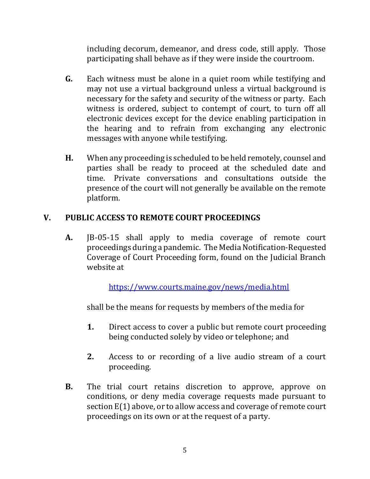including decorum, demeanor, and dress code, still apply. Those participating shall behave as if they were inside the courtroom.

- **G.** Each witness must be alone in a quiet room while testifying and may not use a virtual background unless a virtual background is necessary for the safety and security of the witness or party. Each witness is ordered, subject to contempt of court, to turn off all electronic devices except for the device enabling participation in the hearing and to refrain from exchanging any electronic messages with anyone while testifying.
- **H.** When any proceeding is scheduled to be held remotely, counsel and parties shall be ready to proceed at the scheduled date and time. Private conversations and consultations outside the presence of the court will not generally be available on the remote platform.

# **V. PUBLIC ACCESS TO REMOTE COURT PROCEEDINGS**

**A.** JB-05-15 shall apply to media coverage of remote court proceedings during a pandemic. The Media Notification-Requested Coverage of Court Proceeding form, found on the Judicial Branch website at

<https://www.courts.maine.gov/news/media.html>

shall be the means for requests by members of the media for

- **1.** Direct access to cover a public but remote court proceeding being conducted solely by video or telephone; and
- **2.** Access to or recording of a live audio stream of a court proceeding.
- **B.** The trial court retains discretion to approve, approve on conditions, or deny media coverage requests made pursuant to section E(1) above, or to allow access and coverage of remote court proceedings on its own or at the request of a party.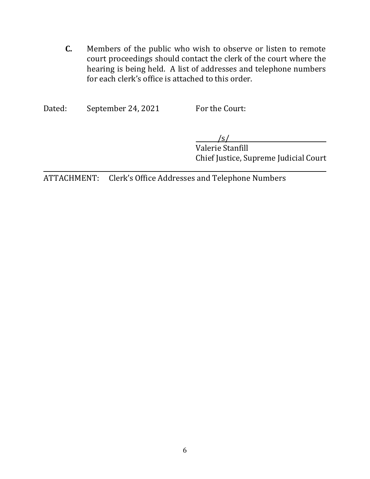**C.** Members of the public who wish to observe or listen to remote court proceedings should contact the clerk of the court where the hearing is being held. A list of addresses and telephone numbers for each clerk's office is attached to this order.

Dated: September 24, 2021 For the Court:

/s/

Valerie Stanfill Chief Justice, Supreme Judicial Court

ATTACHMENT: Clerk's Office Addresses and Telephone Numbers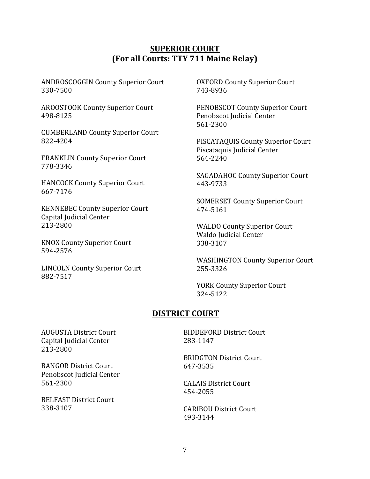#### **SUPERIOR COURT (For all Courts: TTY 711 Maine Relay)**

ANDROSCOGGIN County Superior Court 330-7500

AROOSTOOK County Superior Court 498-8125

CUMBERLAND County Superior Court 822-4204

FRANKLIN County Superior Court 778-3346

HANCOCK County Superior Court 667-7176

KENNEBEC County Superior Court Capital Judicial Center 213-2800

KNOX County Superior Court 594-2576

LINCOLN County Superior Court 882-7517

OXFORD County Superior Court 743-8936

PENOBSCOT County Superior Court Penobscot Judicial Center 561-2300

PISCATAQUIS County Superior Court Piscataquis Judicial Center 564-2240

SAGADAHOC County Superior Court 443-9733

SOMERSET County Superior Court 474-5161

WALDO County Superior Court Waldo Judicial Center 338-3107

WASHINGTON County Superior Court 255-3326

YORK County Superior Court 324-5122

#### **DISTRICT COURT**

AUGUSTA District Court Capital Judicial Center 213-2800

BANGOR District Court Penobscot Judicial Center 561-2300

BELFAST District Court 338-3107

BIDDEFORD District Court 283-1147

BRIDGTON District Court 647-3535

CALAIS District Court 454-2055

CARIBOU District Court 493-3144